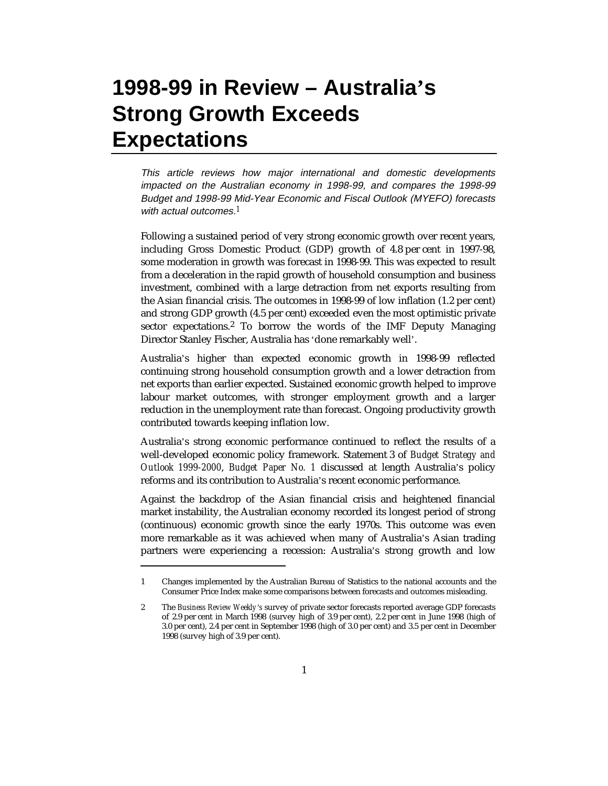# **1998-99 in Review – Australia's Strong Growth Exceeds Expectations**

This article reviews how major international and domestic developments impacted on the Australian economy in 1998-99, and compares the 1998-99 Budget and 1998-99 Mid-Year Economic and Fiscal Outlook (MYEFO) forecasts with actual outcomes.*1*

Following a sustained period of very strong economic growth over recent years, including Gross Domestic Product (GDP) growth of 4.8 per cent in 1997-98, some moderation in growth was forecast in 1998-99. This was expected to result from a deceleration in the rapid growth of household consumption and business investment, combined with a large detraction from net exports resulting from the Asian financial crisis. The outcomes in 1998-99 of low inflation (1.2 per cent) and strong GDP growth (4.5 per cent) exceeded even the most optimistic private sector expectations.<sup>2</sup> To borrow the words of the IMF Deputy Managing Director Stanley Fischer, Australia has 'done remarkably well'.

Australia's higher than expected economic growth in 1998-99 reflected continuing strong household consumption growth and a lower detraction from net exports than earlier expected. Sustained economic growth helped to improve labour market outcomes, with stronger employment growth and a larger reduction in the unemployment rate than forecast. Ongoing productivity growth contributed towards keeping inflation low.

Australia's strong economic performance continued to reflect the results of a well-developed economic policy framework. Statement 3 of *Budget Strategy and Outlook 1999-2000*, *Budget Paper No. 1* discussed at length Australia's policy reforms and its contribution to Australia's recent economic performance.

Against the backdrop of the Asian financial crisis and heightened financial market instability, the Australian economy recorded its longest period of strong (continuous) economic growth since the early 1970s. This outcome was even more remarkable as it was achieved when many of Australia's Asian trading partners were experiencing a recession: Australia's strong growth and low

-

<sup>1</sup> Changes implemented by the Australian Bureau of Statistics to the national accounts and the Consumer Price Index make some comparisons between forecasts and outcomes misleading.

<sup>2</sup> The *Business Review Weekly's* survey of private sector forecasts reported average GDP forecasts of 2.9 per cent in March 1998 (survey high of 3.9 per cent), 2.2 per cent in June 1998 (high of 3.0 per cent), 2.4 per cent in September 1998 (high of 3.0 per cent) and 3.5 per cent in December 1998 (survey high of 3.9 per cent).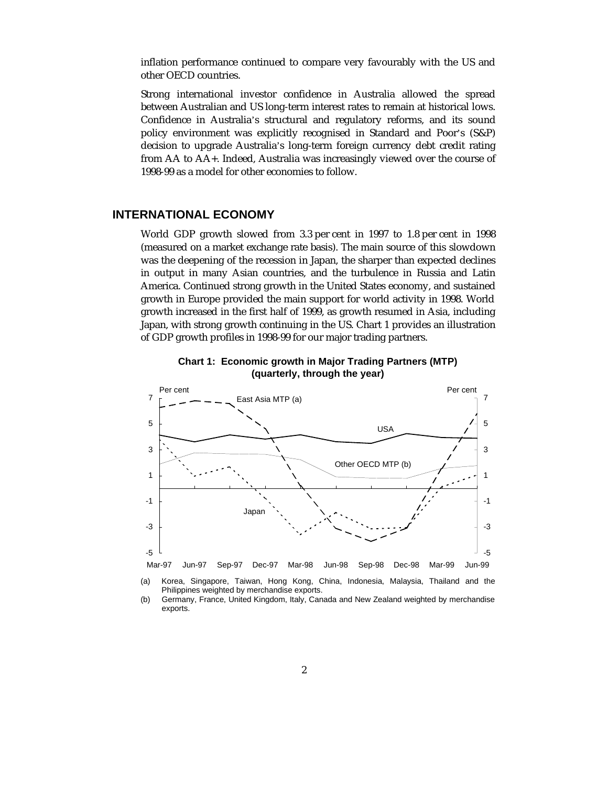inflation performance continued to compare very favourably with the US and other OECD countries.

Strong international investor confidence in Australia allowed the spread between Australian and US long-term interest rates to remain at historical lows. Confidence in Australia's structural and regulatory reforms, and its sound policy environment was explicitly recognised in Standard and Poor's (S&P) decision to upgrade Australia's long-term foreign currency debt credit rating from AA to AA+. Indeed, Australia was increasingly viewed over the course of 1998-99 as a model for other economies to follow.

## **INTERNATIONAL ECONOMY**

World GDP growth slowed from 3.3 per cent in 1997 to 1.8 per cent in 1998 (measured on a market exchange rate basis). The main source of this slowdown was the deepening of the recession in Japan, the sharper than expected declines in output in many Asian countries, and the turbulence in Russia and Latin America. Continued strong growth in the United States economy, and sustained growth in Europe provided the main support for world activity in 1998. World growth increased in the first half of 1999, as growth resumed in Asia, including Japan, with strong growth continuing in the US. Chart 1 provides an illustration of GDP growth profiles in 1998-99 for our major trading partners.





(a) Korea, Singapore, Taiwan, Hong Kong, China, Indonesia, Malaysia, Thailand and the Philippines weighted by merchandise exports.

(b) Germany, France, United Kingdom, Italy, Canada and New Zealand weighted by merchandise exports.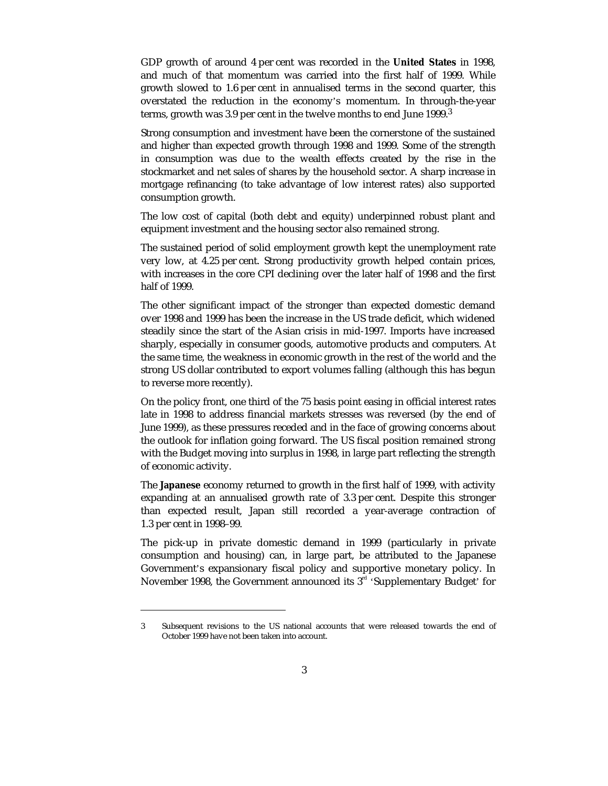GDP growth of around 4 per cent was recorded in the **United States** in 1998, and much of that momentum was carried into the first half of 1999. While growth slowed to 1.6 per cent in annualised terms in the second quarter, this overstated the reduction in the economy's momentum. In through-the-year terms, growth was 3.9 per cent in the twelve months to end June 1999.3

Strong consumption and investment have been the cornerstone of the sustained and higher than expected growth through 1998 and 1999. Some of the strength in consumption was due to the wealth effects created by the rise in the stockmarket and net sales of shares by the household sector. A sharp increase in mortgage refinancing (to take advantage of low interest rates) also supported consumption growth.

The low cost of capital (both debt and equity) underpinned robust plant and equipment investment and the housing sector also remained strong.

The sustained period of solid employment growth kept the unemployment rate very low, at 4.25 per cent. Strong productivity growth helped contain prices, with increases in the core CPI declining over the later half of 1998 and the first half of 1999.

The other significant impact of the stronger than expected domestic demand over 1998 and 1999 has been the increase in the US trade deficit, which widened steadily since the start of the Asian crisis in mid-1997. Imports have increased sharply, especially in consumer goods, automotive products and computers. At the same time, the weakness in economic growth in the rest of the world and the strong US dollar contributed to export volumes falling (although this has begun to reverse more recently).

On the policy front, one third of the 75 basis point easing in official interest rates late in 1998 to address financial markets stresses was reversed (by the end of June 1999), as these pressures receded and in the face of growing concerns about the outlook for inflation going forward. The US fiscal position remained strong with the Budget moving into surplus in 1998, in large part reflecting the strength of economic activity.

The **Japanese** economy returned to growth in the first half of 1999, with activity expanding at an annualised growth rate of 3.3 per cent. Despite this stronger than expected result, Japan still recorded a year-average contraction of 1.3 per cent in 1998–99.

The pick-up in private domestic demand in 1999 (particularly in private consumption and housing) can, in large part, be attributed to the Japanese Government's expansionary fiscal policy and supportive monetary policy. In November 1998, the Government announced its  $3<sup>rd</sup>$  'Supplementary Budget' for

-

<sup>3</sup> Subsequent revisions to the US national accounts that were released towards the end of October 1999 have not been taken into account.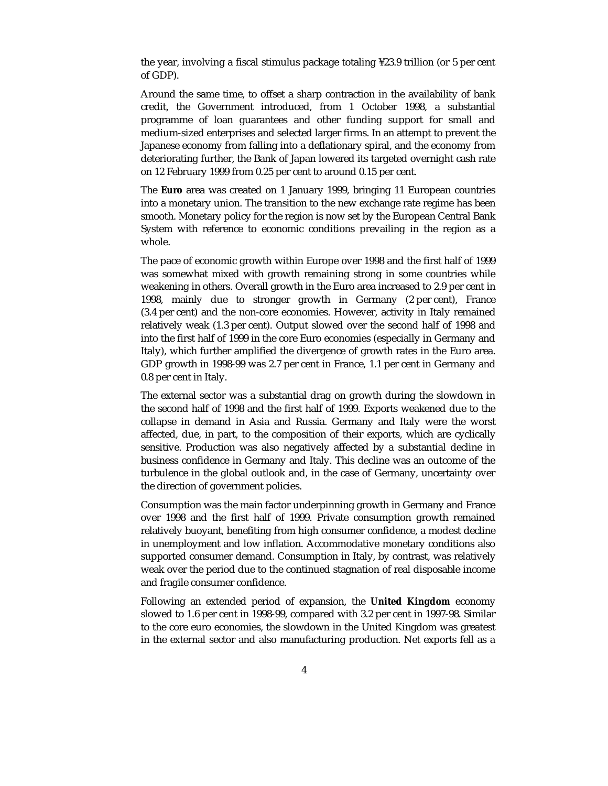the year, involving a fiscal stimulus package totaling ¥23.9 trillion (or 5 per cent of GDP).

Around the same time, to offset a sharp contraction in the availability of bank credit, the Government introduced, from 1 October 1998, a substantial programme of loan guarantees and other funding support for small and medium-sized enterprises and selected larger firms. In an attempt to prevent the Japanese economy from falling into a deflationary spiral, and the economy from deteriorating further, the Bank of Japan lowered its targeted overnight cash rate on 12 February 1999 from 0.25 per cent to around 0.15 per cent.

The **Euro** area was created on 1 January 1999, bringing 11 European countries into a monetary union. The transition to the new exchange rate regime has been smooth. Monetary policy for the region is now set by the European Central Bank System with reference to economic conditions prevailing in the region as a whole.

The pace of economic growth within Europe over 1998 and the first half of 1999 was somewhat mixed with growth remaining strong in some countries while weakening in others. Overall growth in the Euro area increased to 2.9 per cent in 1998, mainly due to stronger growth in Germany (2 per cent), France (3.4 per cent) and the non-core economies. However, activity in Italy remained relatively weak (1.3 per cent). Output slowed over the second half of 1998 and into the first half of 1999 in the core Euro economies (especially in Germany and Italy), which further amplified the divergence of growth rates in the Euro area. GDP growth in 1998-99 was 2.7 per cent in France, 1.1 per cent in Germany and 0.8 per cent in Italy.

The external sector was a substantial drag on growth during the slowdown in the second half of 1998 and the first half of 1999. Exports weakened due to the collapse in demand in Asia and Russia. Germany and Italy were the worst affected, due, in part, to the composition of their exports, which are cyclically sensitive. Production was also negatively affected by a substantial decline in business confidence in Germany and Italy. This decline was an outcome of the turbulence in the global outlook and, in the case of Germany, uncertainty over the direction of government policies.

Consumption was the main factor underpinning growth in Germany and France over 1998 and the first half of 1999. Private consumption growth remained relatively buoyant, benefiting from high consumer confidence, a modest decline in unemployment and low inflation. Accommodative monetary conditions also supported consumer demand. Consumption in Italy, by contrast, was relatively weak over the period due to the continued stagnation of real disposable income and fragile consumer confidence.

Following an extended period of expansion, the **United Kingdom** economy slowed to 1.6 per cent in 1998-99, compared with 3.2 per cent in 1997-98. Similar to the core euro economies, the slowdown in the United Kingdom was greatest in the external sector and also manufacturing production. Net exports fell as a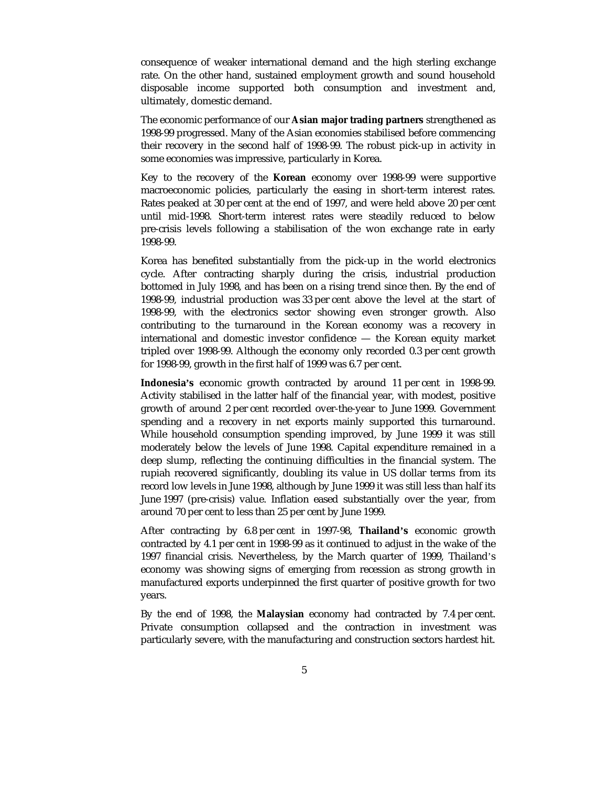consequence of weaker international demand and the high sterling exchange rate. On the other hand, sustained employment growth and sound household disposable income supported both consumption and investment and, ultimately, domestic demand.

The economic performance of our **Asian major trading partners** strengthened as 1998-99 progressed. Many of the Asian economies stabilised before commencing their recovery in the second half of 1998-99. The robust pick-up in activity in some economies was impressive, particularly in Korea.

Key to the recovery of the **Korean** economy over 1998-99 were supportive macroeconomic policies, particularly the easing in short-term interest rates. Rates peaked at 30 per cent at the end of 1997, and were held above 20 per cent until mid-1998. Short-term interest rates were steadily reduced to below pre-crisis levels following a stabilisation of the won exchange rate in early 1998-99.

Korea has benefited substantially from the pick-up in the world electronics cycle. After contracting sharply during the crisis, industrial production bottomed in July 1998, and has been on a rising trend since then. By the end of 1998-99, industrial production was 33 per cent above the level at the start of 1998-99, with the electronics sector showing even stronger growth. Also contributing to the turnaround in the Korean economy was a recovery in international and domestic investor confidence — the Korean equity market tripled over 1998-99. Although the economy only recorded 0.3 per cent growth for 1998-99, growth in the first half of 1999 was 6.7 per cent.

**Indonesia's** economic growth contracted by around 11 per cent in 1998-99. Activity stabilised in the latter half of the financial year, with modest, positive growth of around 2 per cent recorded over-the-year to June 1999. Government spending and a recovery in net exports mainly supported this turnaround. While household consumption spending improved, by June 1999 it was still moderately below the levels of June 1998. Capital expenditure remained in a deep slump, reflecting the continuing difficulties in the financial system. The rupiah recovered significantly, doubling its value in US dollar terms from its record low levels in June 1998, although by June 1999 it was still less than half its June 1997 (pre-crisis) value. Inflation eased substantially over the year, from around 70 per cent to less than 25 per cent by June 1999.

After contracting by 6.8 per cent in 1997-98, **Thailand's** economic growth contracted by 4.1 per cent in 1998-99 as it continued to adjust in the wake of the 1997 financial crisis. Nevertheless, by the March quarter of 1999, Thailand's economy was showing signs of emerging from recession as strong growth in manufactured exports underpinned the first quarter of positive growth for two years.

By the end of 1998, the **Malaysian** economy had contracted by 7.4 per cent. Private consumption collapsed and the contraction in investment was particularly severe, with the manufacturing and construction sectors hardest hit.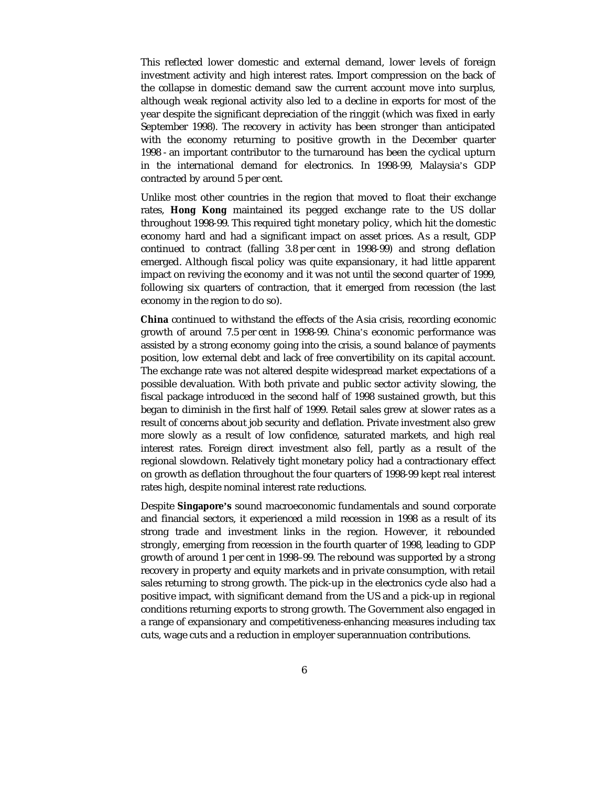This reflected lower domestic and external demand, lower levels of foreign investment activity and high interest rates. Import compression on the back of the collapse in domestic demand saw the current account move into surplus, although weak regional activity also led to a decline in exports for most of the year despite the significant depreciation of the ringgit (which was fixed in early September 1998). The recovery in activity has been stronger than anticipated with the economy returning to positive growth in the December quarter 1998 - an important contributor to the turnaround has been the cyclical upturn in the international demand for electronics. In 1998-99, Malaysia's GDP contracted by around 5 per cent.

Unlike most other countries in the region that moved to float their exchange rates, **Hong Kong** maintained its pegged exchange rate to the US dollar throughout 1998-99. This required tight monetary policy, which hit the domestic economy hard and had a significant impact on asset prices. As a result, GDP continued to contract (falling 3.8 per cent in 1998-99) and strong deflation emerged. Although fiscal policy was quite expansionary, it had little apparent impact on reviving the economy and it was not until the second quarter of 1999, following six quarters of contraction, that it emerged from recession (the last economy in the region to do so).

**China** continued to withstand the effects of the Asia crisis, recording economic growth of around 7.5 per cent in 1998-99. China's economic performance was assisted by a strong economy going into the crisis, a sound balance of payments position, low external debt and lack of free convertibility on its capital account. The exchange rate was not altered despite widespread market expectations of a possible devaluation. With both private and public sector activity slowing, the fiscal package introduced in the second half of 1998 sustained growth, but this began to diminish in the first half of 1999. Retail sales grew at slower rates as a result of concerns about job security and deflation. Private investment also grew more slowly as a result of low confidence, saturated markets, and high real interest rates. Foreign direct investment also fell, partly as a result of the regional slowdown. Relatively tight monetary policy had a contractionary effect on growth as deflation throughout the four quarters of 1998-99 kept real interest rates high, despite nominal interest rate reductions.

Despite **Singapore's** sound macroeconomic fundamentals and sound corporate and financial sectors, it experienced a mild recession in 1998 as a result of its strong trade and investment links in the region. However, it rebounded strongly, emerging from recession in the fourth quarter of 1998, leading to GDP growth of around 1 per cent in 1998–99. The rebound was supported by a strong recovery in property and equity markets and in private consumption, with retail sales returning to strong growth. The pick-up in the electronics cycle also had a positive impact, with significant demand from the US and a pick-up in regional conditions returning exports to strong growth. The Government also engaged in a range of expansionary and competitiveness-enhancing measures including tax cuts, wage cuts and a reduction in employer superannuation contributions.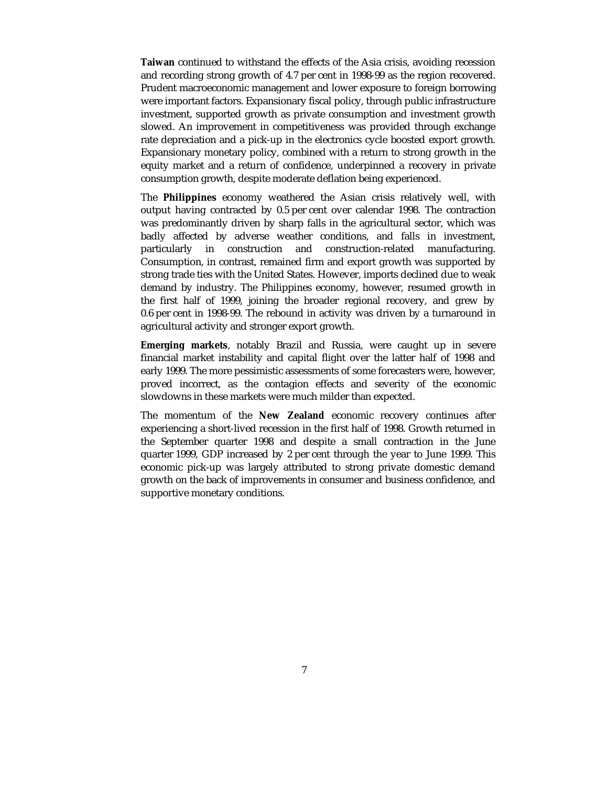**Taiwan** continued to withstand the effects of the Asia crisis, avoiding recession and recording strong growth of 4.7 per cent in 1998-99 as the region recovered. Prudent macroeconomic management and lower exposure to foreign borrowing were important factors. Expansionary fiscal policy, through public infrastructure investment, supported growth as private consumption and investment growth slowed. An improvement in competitiveness was provided through exchange rate depreciation and a pick-up in the electronics cycle boosted export growth. Expansionary monetary policy, combined with a return to strong growth in the equity market and a return of confidence, underpinned a recovery in private consumption growth, despite moderate deflation being experienced.

The **Philippines** economy weathered the Asian crisis relatively well, with output having contracted by 0.5 per cent over calendar 1998. The contraction was predominantly driven by sharp falls in the agricultural sector, which was badly affected by adverse weather conditions, and falls in investment, particularly in construction and construction-related manufacturing. Consumption, in contrast, remained firm and export growth was supported by strong trade ties with the United States. However, imports declined due to weak demand by industry. The Philippines economy, however, resumed growth in the first half of 1999, joining the broader regional recovery, and grew by 0.6 per cent in 1998-99. The rebound in activity was driven by a turnaround in agricultural activity and stronger export growth.

**Emerging markets**, notably Brazil and Russia, were caught up in severe financial market instability and capital flight over the latter half of 1998 and early 1999. The more pessimistic assessments of some forecasters were, however, proved incorrect, as the contagion effects and severity of the economic slowdowns in these markets were much milder than expected.

The momentum of the **New Zealand** economic recovery continues after experiencing a short-lived recession in the first half of 1998. Growth returned in the September quarter 1998 and despite a small contraction in the June quarter 1999, GDP increased by 2 per cent through the year to June 1999. This economic pick-up was largely attributed to strong private domestic demand growth on the back of improvements in consumer and business confidence, and supportive monetary conditions.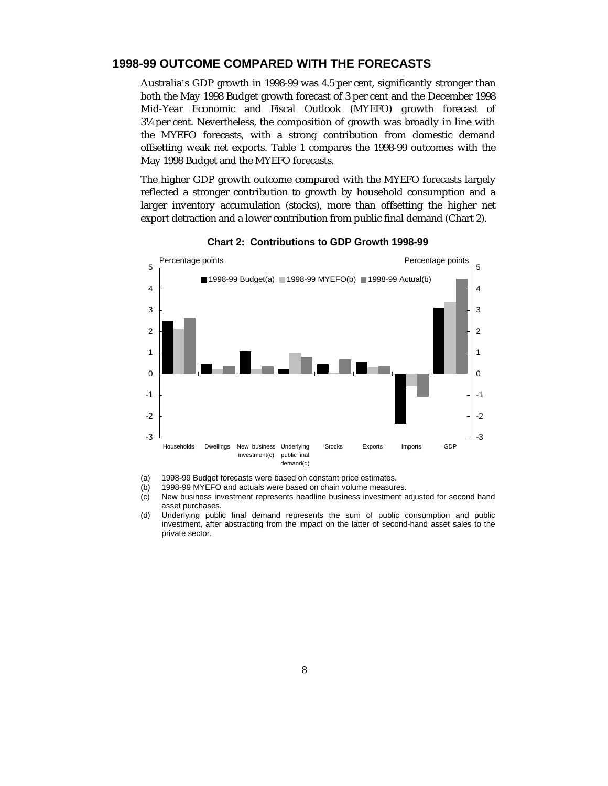#### **1998-99 OUTCOME COMPARED WITH THE FORECASTS**

Australia's GDP growth in 1998-99 was 4.5 per cent, significantly stronger than both the May 1998 Budget growth forecast of 3 per cent and the December 1998 Mid-Year Economic and Fiscal Outlook (MYEFO) growth forecast of 3¼ per cent. Nevertheless, the composition of growth was broadly in line with the MYEFO forecasts, with a strong contribution from domestic demand offsetting weak net exports. Table 1 compares the 1998-99 outcomes with the May 1998 Budget and the MYEFO forecasts.

The higher GDP growth outcome compared with the MYEFO forecasts largely reflected a stronger contribution to growth by household consumption and a larger inventory accumulation (stocks), more than offsetting the higher net export detraction and a lower contribution from public final demand (Chart 2).



**Chart 2: Contributions to GDP Growth 1998-99**

(a) 1998-99 Budget forecasts were based on constant price estimates.

(b) 1998-99 MYEFO and actuals were based on chain volume measures.

- (c) New business investment represents headline business investment adjusted for second hand asset purchases.
- (d) Underlying public final demand represents the sum of public consumption and public investment, after abstracting from the impact on the latter of second-hand asset sales to the private sector.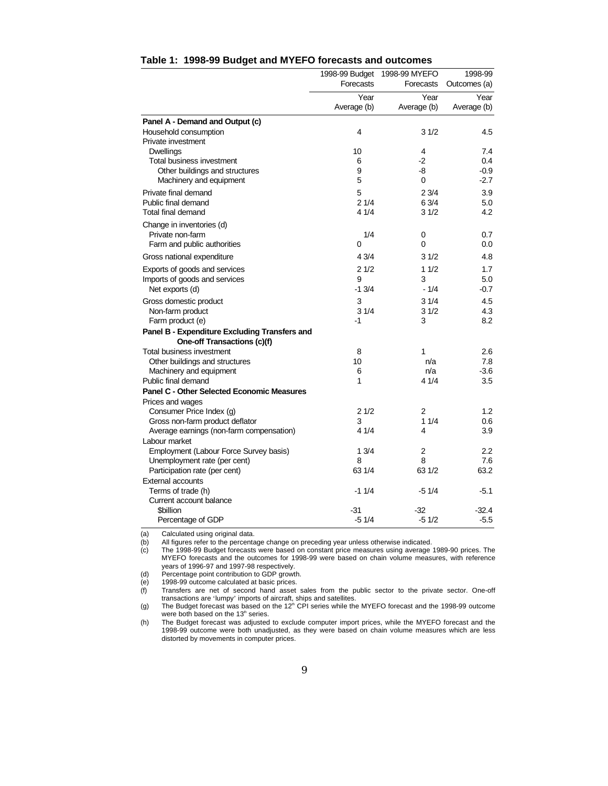|                                                           | 1998-99 Budget | 1998-99 MYEFO | 1998-99      |
|-----------------------------------------------------------|----------------|---------------|--------------|
|                                                           | Forecasts      | Forecasts     | Outcomes (a) |
|                                                           | Year           | Year          | Year         |
|                                                           | Average (b)    | Average (b)   | Average (b)  |
| Panel A - Demand and Output (c)                           |                |               |              |
| Household consumption                                     | 4              | 31/2          | 4.5          |
| Private investment                                        |                |               |              |
| <b>Dwellings</b>                                          | 10             | 4             | 7.4          |
| Total business investment                                 | 6              | -2            | 0.4          |
| Other buildings and structures                            | 9              | -8            | $-0.9$       |
| Machinery and equipment                                   | 5              | 0             | $-2.7$       |
| Private final demand                                      | 5              | 23/4          | 3.9          |
| Public final demand                                       | 21/4           | 6 3/4         | 5.0          |
| Total final demand                                        | 4 1/4          | 31/2          | 4.2          |
| Change in inventories (d)                                 |                |               |              |
| Private non-farm                                          | 1/4            | 0             | 0.7          |
| Farm and public authorities                               | $\Omega$       | 0             | 0.0          |
| Gross national expenditure                                | 4 3/4          | 31/2          | 4.8          |
| Exports of goods and services                             | 21/2           | 11/2          | 1.7          |
| Imports of goods and services                             | 9              | 3             | 5.0          |
| Net exports (d)                                           | $-1.3/4$       | $-1/4$        | -0.7         |
| Gross domestic product                                    | 3              | 31/4          | 4.5          |
| Non-farm product                                          | 31/4           | 31/2          | 4.3          |
| Farm product (e)                                          | $-1$           | 3             | 8.2          |
| Panel B - Expenditure Excluding Transfers and             |                |               |              |
| One-off Transactions (c)(f)                               |                |               |              |
| Total business investment                                 | 8              | 1             | 2.6          |
| Other buildings and structures                            | 10             | n/a           | 7.8          |
| Machinery and equipment                                   | 6              | n/a           | $-3.6$       |
| Public final demand                                       | 1              | 4 1/4         | 3.5          |
| <b>Panel C - Other Selected Economic Measures</b>         |                |               |              |
| Prices and wages                                          |                |               |              |
| Consumer Price Index (g)                                  | 21/2<br>3      | 2<br>11/4     | 1.2          |
| Gross non-farm product deflator                           | 4 1/4          | 4             | 0.6<br>3.9   |
| Average earnings (non-farm compensation)<br>Labour market |                |               |              |
| Employment (Labour Force Survey basis)                    | 13/4           | 2             | 2.2          |
| Unemployment rate (per cent)                              | 8              | 8             | 7.6          |
| Participation rate (per cent)                             | 63 1/4         | 63 1/2        | 63.2         |
| <b>External accounts</b>                                  |                |               |              |
| Terms of trade (h)                                        | $-11/4$        | $-51/4$       | $-5.1$       |
| Current account balance                                   |                |               |              |
| <b>Sbillion</b>                                           | -31            | $-32$         | $-32.4$      |
| Percentage of GDP                                         | $-51/4$        | $-51/2$       | $-5.5$       |

## **Table 1: 1998-99 Budget and MYEFO forecasts and outcomes**

(a) Calculated using original data.<br>(b) All figures refer to the percenta

(b) All figures refer to the percentage change on preceding year unless otherwise indicated.<br>(c) The 1998-99 Budget forecasts were based on constant price measures using average The 1998-99 Budget forecasts were based on constant price measures using average 1989-90 prices. The MYEFO forecasts and the outcomes for 1998-99 were based on chain volume measures, with reference years of 1996-97 and 1997-98 respectively.

(d) Percentage point contribution to GDP growth.

(e) 1998-99 outcome calculated at basic prices.

(f) Transfers are net of second hand asset sales from the public sector to the private sector. One-off transactions are 'lumpy' imports of aircraft, ships and satellites.<br>(g) The Budget forecast was based on the 12<sup>th</sup> CPI series while the MYEFO forecast and the 1998-99 outcome

were both based on the 13<sup>th</sup> series.

(h) The Budget forecast was adjusted to exclude computer import prices, while the MYEFO forecast and the 1998-99 outcome were both unadjusted, as they were based on chain volume measures which are less distorted by movements in computer prices.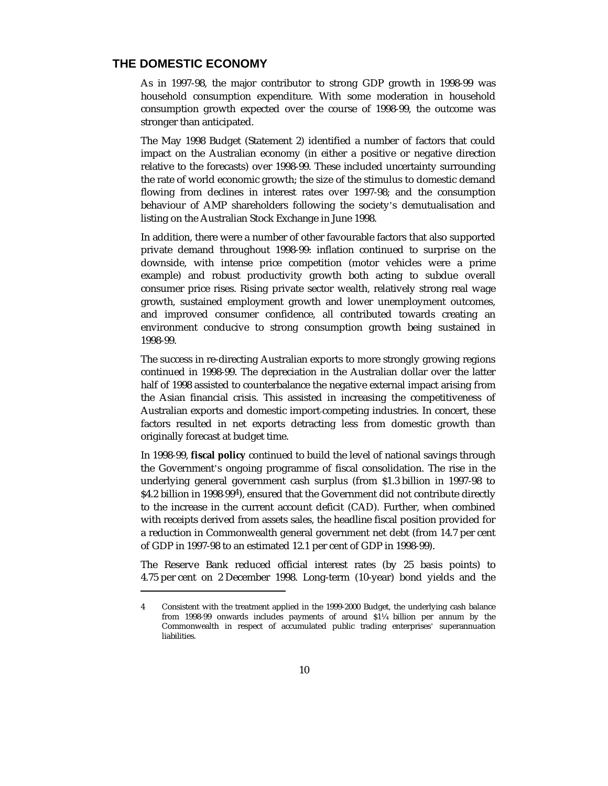### **THE DOMESTIC ECONOMY**

-

As in 1997-98, the major contributor to strong GDP growth in 1998-99 was household consumption expenditure. With some moderation in household consumption growth expected over the course of 1998-99, the outcome was stronger than anticipated.

The May 1998 Budget (Statement 2) identified a number of factors that could impact on the Australian economy (in either a positive or negative direction relative to the forecasts) over 1998-99. These included uncertainty surrounding the rate of world economic growth; the size of the stimulus to domestic demand flowing from declines in interest rates over 1997-98; and the consumption behaviour of AMP shareholders following the society's demutualisation and listing on the Australian Stock Exchange in June 1998.

In addition, there were a number of other favourable factors that also supported private demand throughout 1998-99: inflation continued to surprise on the downside, with intense price competition (motor vehicles were a prime example) and robust productivity growth both acting to subdue overall consumer price rises. Rising private sector wealth, relatively strong real wage growth, sustained employment growth and lower unemployment outcomes, and improved consumer confidence, all contributed towards creating an environment conducive to strong consumption growth being sustained in 1998-99.

The success in re-directing Australian exports to more strongly growing regions continued in 1998-99. The depreciation in the Australian dollar over the latter half of 1998 assisted to counterbalance the negative external impact arising from the Asian financial crisis. This assisted in increasing the competitiveness of Australian exports and domestic import-competing industries. In concert, these factors resulted in net exports detracting less from domestic growth than originally forecast at budget time.

In 1998-99, **fiscal policy** continued to build the level of national savings through the Government's ongoing programme of fiscal consolidation. The rise in the underlying general government cash surplus (from \$1.3 billion in 1997-98 to \$4.2 billion in 1998-994), ensured that the Government did not contribute directly to the increase in the current account deficit (CAD). Further, when combined with receipts derived from assets sales, the headline fiscal position provided for a reduction in Commonwealth general government net debt (from 14.7 per cent of GDP in 1997-98 to an estimated 12.1 per cent of GDP in 1998-99).

The Reserve Bank reduced official interest rates (by 25 basis points) to 4.75 per cent on 2 December 1998. Long-term (10-year) bond yields and the

<sup>4</sup> Consistent with the treatment applied in the 1999-2000 Budget, the underlying cash balance from 1998-99 onwards includes payments of around \$1¼ billion per annum by the Commonwealth in respect of accumulated public trading enterprises' superannuation liabilities.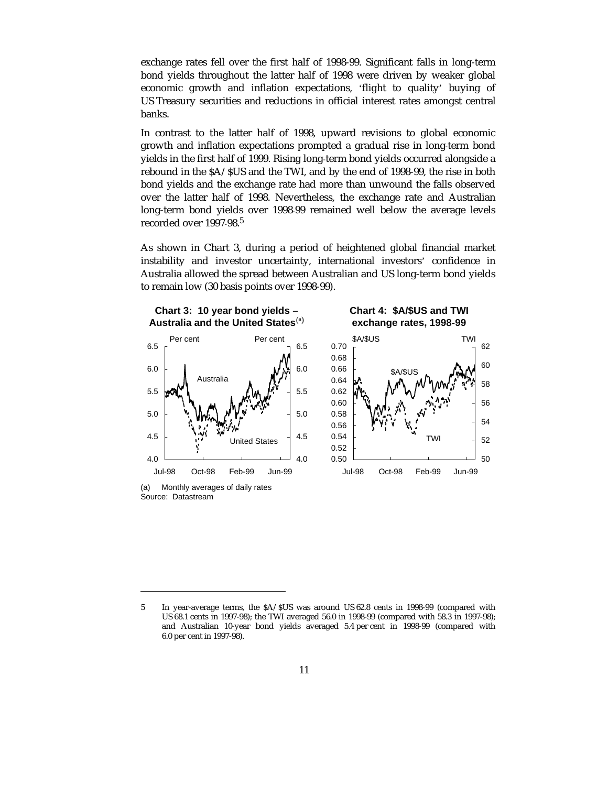exchange rates fell over the first half of 1998-99. Significant falls in long-term bond yields throughout the latter half of 1998 were driven by weaker global economic growth and inflation expectations, 'flight to quality' buying of US Treasury securities and reductions in official interest rates amongst central banks.

In contrast to the latter half of 1998, upward revisions to global economic growth and inflation expectations prompted a gradual rise in long-term bond yields in the first half of 1999. Rising long-term bond yields occurred alongside a rebound in the \$A/\$US and the TWI, and by the end of 1998-99, the rise in both bond yields and the exchange rate had more than unwound the falls observed over the latter half of 1998. Nevertheless, the exchange rate and Australian long-term bond yields over 1998-99 remained well below the average levels recorded over 1997-98.5

As shown in Chart 3, during a period of heightened global financial market instability and investor uncertainty, international investors' confidence in Australia allowed the spread between Australian and US long-term bond yields to remain low (30 basis points over 1998-99).



(a) Monthly averages of daily rates Source: Datastream

 $\overline{a}$ 

<sup>5</sup> In year-average terms, the \$A/\$US was around US 62.8 cents in 1998-99 (compared with US 68.1 cents in 1997-98); the TWI averaged 56.0 in 1998-99 (compared with 58.3 in 1997-98); and Australian 10-year bond yields averaged 5.4 per cent in 1998-99 (compared with 6.0 per cent in 1997-98).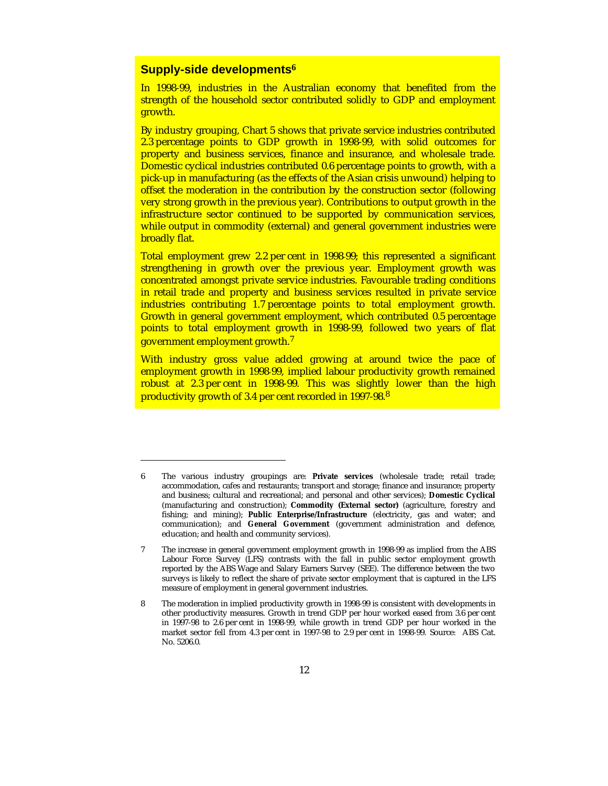## **Supply-side developments<sup>6</sup>**

-

In 1998-99, industries in the Australian economy that benefited from the strength of the household sector contributed solidly to GDP and employment growth.

By industry grouping, Chart 5 shows that private service industries contributed 2.3 percentage points to GDP growth in 1998-99, with solid outcomes for property and business services, finance and insurance, and wholesale trade. Domestic cyclical industries contributed 0.6 percentage points to growth, with a pick-up in manufacturing (as the effects of the Asian crisis unwound) helping to offset the moderation in the contribution by the construction sector (following very strong growth in the previous year). Contributions to output growth in the infrastructure sector continued to be supported by communication services, while output in commodity (external) and general government industries were broadly flat.

Total employment grew 2.2 per cent in 1998-99; this represented a significant strengthening in growth over the previous year. Employment growth was concentrated amongst private service industries. Favourable trading conditions in retail trade and property and business services resulted in private service industries contributing 1.7 percentage points to total employment growth. Growth in general government employment, which contributed 0.5 percentage points to total employment growth in 1998-99, followed two years of flat government employment growth.<sup>7</sup>

With industry gross value added growing at around twice the pace of employment growth in 1998-99, implied labour productivity growth remained robust at 2.3 per cent in 1998-99. This was slightly lower than the high productivity growth of 3.4 per cent recorded in 1997-98.<sup>8</sup>

<sup>6</sup> The various industry groupings are: **Private services** (wholesale trade; retail trade; accommodation, cafes and restaurants; transport and storage; finance and insurance; property and business; cultural and recreational; and personal and other services); **Domestic Cyclical** (manufacturing and construction); **Commodity (External sector)** (agriculture, forestry and fishing; and mining); **Public Enterprise/Infrastructure** (electricity, gas and water; and communication); and **General Government** (government administration and defence, education; and health and community services).

<sup>7</sup> The increase in general government employment growth in 1998-99 as implied from the ABS Labour Force Survey (LFS) contrasts with the fall in public sector employment growth reported by the ABS Wage and Salary Earners Survey (SEE). The difference between the two surveys is likely to reflect the share of private sector employment that is captured in the LFS measure of employment in general government industries.

<sup>8</sup> The moderation in implied productivity growth in 1998-99 is consistent with developments in other productivity measures. Growth in trend GDP per hour worked eased from 3.6 per cent in 1997-98 to 2.6 per cent in 1998-99, while growth in trend GDP per hour worked in the market sector fell from 4.3 per cent in 1997-98 to 2.9 per cent in 1998-99. Source: ABS Cat. No. 5206.0.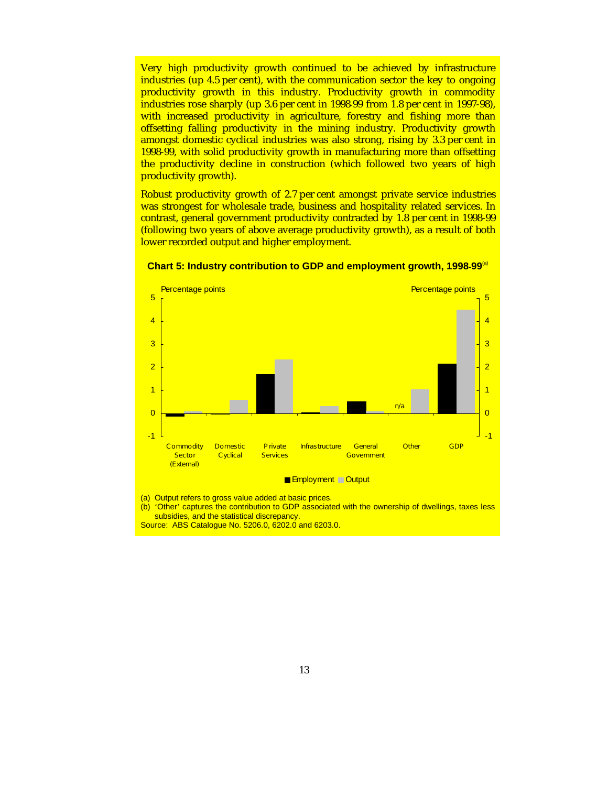Very high productivity growth continued to be achieved by infrastructure industries (up 4.5 per cent), with the communication sector the key to ongoing productivity growth in this industry. Productivity growth in commodity industries rose sharply (up 3.6 per cent in 1998-99 from 1.8 per cent in 1997-98), with increased productivity in agriculture, forestry and fishing more than offsetting falling productivity in the mining industry. Productivity growth amongst domestic cyclical industries was also strong, rising by 3.3 per cent in 1998-99, with solid productivity growth in manufacturing more than offsetting the productivity decline in construction (which followed two years of high productivity growth).

Robust productivity growth of 2.7 per cent amongst private service industries was strongest for wholesale trade, business and hospitality related services. In contrast, general government productivity contracted by 1.8 per cent in 1998-99 (following two years of above average productivity growth), as a result of both lower recorded output and higher employment.



**Chart 5: Industry contribution to GDP and employment growth, 1998-99<sup>(a)</sup>** 

(b) 'Other' captures the contribution to GDP associated with the ownership of dwellings, taxes less subsidies, and the statistical discrepancy.

Source: ABS Catalogue No. 5206.0, 6202.0 and 6203.0.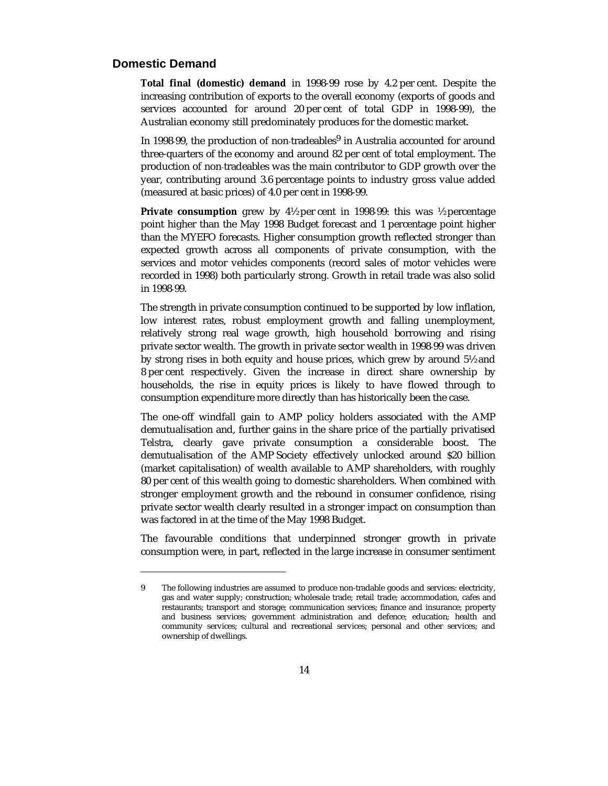## **Domestic Demand**

-

**Total final (domestic) demand** in 1998-99 rose by 4.2 per cent. Despite the increasing contribution of exports to the overall economy (exports of goods and services accounted for around 20 per cent of total GDP in 1998-99), the Australian economy still predominately produces for the domestic market.

In 1998-99, the production of non-tradeables<sup>9</sup> in Australia accounted for around three-quarters of the economy and around 82 per cent of total employment. The production of non-tradeables was the main contributor to GDP growth over the year, contributing around 3.6 percentage points to industry gross value added (measured at basic prices) of 4.0 per cent in 1998-99.

**Private consumption** grew by 4½ per cent in 1998-99: this was ½ percentage point higher than the May 1998 Budget forecast and 1 percentage point higher than the MYEFO forecasts. Higher consumption growth reflected stronger than expected growth across all components of private consumption, with the services and motor vehicles components (record sales of motor vehicles were recorded in 1998) both particularly strong. Growth in retail trade was also solid in 1998-99.

The strength in private consumption continued to be supported by low inflation, low interest rates, robust employment growth and falling unemployment, relatively strong real wage growth, high household borrowing and rising private sector wealth. The growth in private sector wealth in 1998-99 was driven by strong rises in both equity and house prices, which grew by around 5½ and 8 per cent respectively. Given the increase in direct share ownership by households, the rise in equity prices is likely to have flowed through to consumption expenditure more directly than has historically been the case.

The one-off windfall gain to AMP policy holders associated with the AMP demutualisation and, further gains in the share price of the partially privatised Telstra, clearly gave private consumption a considerable boost. The demutualisation of the AMP Society effectively unlocked around \$20 billion (market capitalisation) of wealth available to AMP shareholders, with roughly 80 per cent of this wealth going to domestic shareholders. When combined with stronger employment growth and the rebound in consumer confidence, rising private sector wealth clearly resulted in a stronger impact on consumption than was factored in at the time of the May 1998 Budget.

The favourable conditions that underpinned stronger growth in private consumption were, in part, reflected in the large increase in consumer sentiment

<sup>9</sup> The following industries are assumed to produce non-tradable goods and services: electricity, gas and water supply; construction; wholesale trade; retail trade; accommodation, cafes and restaurants; transport and storage; communication services; finance and insurance; property and business services; government administration and defence; education; health and community services; cultural and recreational services; personal and other services; and ownership of dwellings.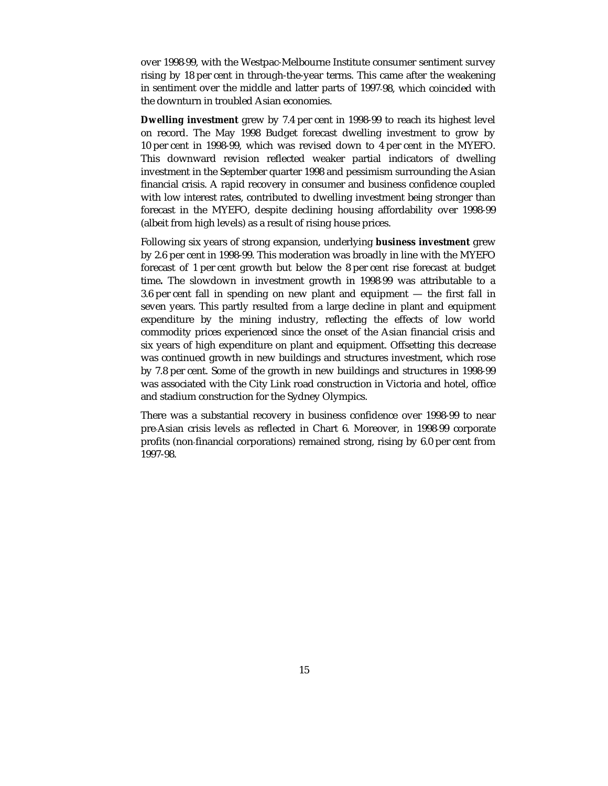over 1998-99, with the Westpac-Melbourne Institute consumer sentiment survey rising by 18 per cent in through-the-year terms. This came after the weakening in sentiment over the middle and latter parts of 1997-98, which coincided with the downturn in troubled Asian economies.

**Dwelling investment** grew by 7.4 per cent in 1998-99 to reach its highest level on record. The May 1998 Budget forecast dwelling investment to grow by 10 per cent in 1998-99, which was revised down to 4 per cent in the MYEFO. This downward revision reflected weaker partial indicators of dwelling investment in the September quarter 1998 and pessimism surrounding the Asian financial crisis. A rapid recovery in consumer and business confidence coupled with low interest rates, contributed to dwelling investment being stronger than forecast in the MYEFO, despite declining housing affordability over 1998-99 (albeit from high levels) as a result of rising house prices.

Following six years of strong expansion, underlying **business investment** grew by 2.6 per cent in 1998-99. This moderation was broadly in line with the MYEFO forecast of 1 per cent growth but below the 8 per cent rise forecast at budget time**.** The slowdown in investment growth in 1998-99 was attributable to a 3.6 per cent fall in spending on new plant and equipment — the first fall in seven years. This partly resulted from a large decline in plant and equipment expenditure by the mining industry, reflecting the effects of low world commodity prices experienced since the onset of the Asian financial crisis and six years of high expenditure on plant and equipment. Offsetting this decrease was continued growth in new buildings and structures investment, which rose by 7.8 per cent. Some of the growth in new buildings and structures in 1998-99 was associated with the City Link road construction in Victoria and hotel, office and stadium construction for the Sydney Olympics.

There was a substantial recovery in business confidence over 1998-99 to near pre-Asian crisis levels as reflected in Chart 6. Moreover, in 1998-99 corporate profits (non-financial corporations) remained strong, rising by 6.0 per cent from 1997-98.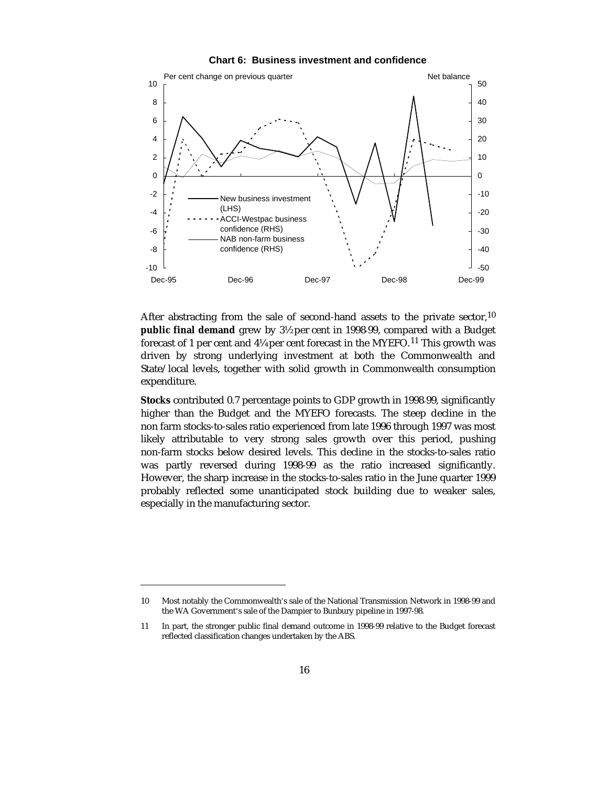



After abstracting from the sale of second-hand assets to the private sector,<sup>10</sup> **public final demand** grew by 3½ per cent in 1998-99, compared with a Budget forecast of 1 per cent and  $4\frac{1}{4}$  per cent forecast in the MYEFO.<sup>11</sup> This growth was driven by strong underlying investment at both the Commonwealth and State/local levels, together with solid growth in Commonwealth consumption expenditure.

**Stocks** contributed 0.7 percentage points to GDP growth in 1998-99, significantly higher than the Budget and the MYEFO forecasts. The steep decline in the non farm stocks-to-sales ratio experienced from late 1996 through 1997 was most likely attributable to very strong sales growth over this period, pushing non-farm stocks below desired levels. This decline in the stocks-to-sales ratio was partly reversed during 1998-99 as the ratio increased significantly. However, the sharp increase in the stocks-to-sales ratio in the June quarter 1999 probably reflected some unanticipated stock building due to weaker sales, especially in the manufacturing sector.

-

<sup>10</sup> Most notably the Commonwealth's sale of the National Transmission Network in 1998-99 and the WA Government's sale of the Dampier to Bunbury pipeline in 1997-98.

<sup>11</sup> In part, the stronger public final demand outcome in 1998-99 relative to the Budget forecast reflected classification changes undertaken by the ABS.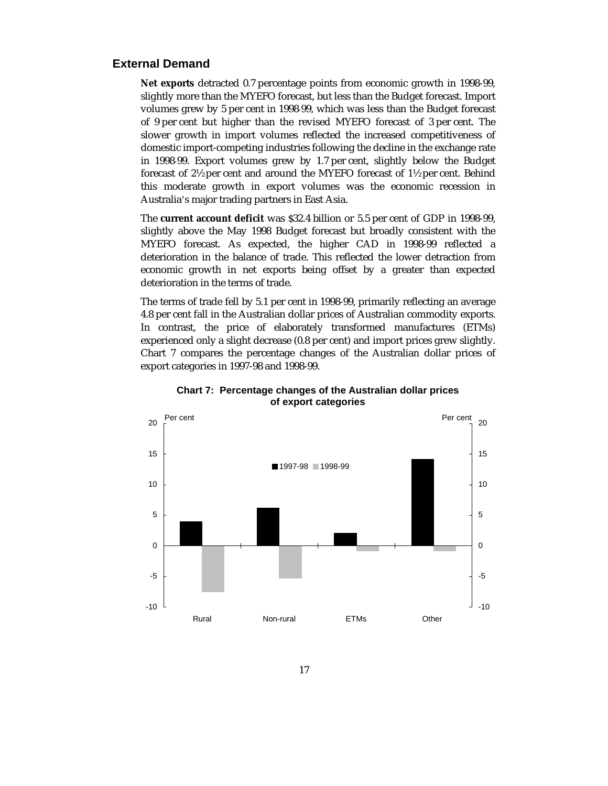## **External Demand**

**Net exports** detracted 0.7 percentage points from economic growth in 1998-99, slightly more than the MYEFO forecast, but less than the Budget forecast. Import volumes grew by 5 per cent in 1998-99, which was less than the Budget forecast of 9 per cent but higher than the revised MYEFO forecast of 3 per cent. The slower growth in import volumes reflected the increased competitiveness of domestic import-competing industries following the decline in the exchange rate in 1998-99. Export volumes grew by 1.7 per cent, slightly below the Budget forecast of 2½ per cent and around the MYEFO forecast of 1½ per cent. Behind this moderate growth in export volumes was the economic recession in Australia's major trading partners in East Asia.

The **current account deficit** was \$32.4 billion or 5.5 per cent of GDP in 1998-99, slightly above the May 1998 Budget forecast but broadly consistent with the MYEFO forecast. As expected, the higher CAD in 1998-99 reflected a deterioration in the balance of trade. This reflected the lower detraction from economic growth in net exports being offset by a greater than expected deterioration in the terms of trade.

The terms of trade fell by 5.1 per cent in 1998-99, primarily reflecting an average 4.8 per cent fall in the Australian dollar prices of Australian commodity exports. In contrast, the price of elaborately transformed manufactures (ETMs) experienced only a slight decrease (0.8 per cent) and import prices grew slightly. Chart 7 compares the percentage changes of the Australian dollar prices of export categories in 1997-98 and 1998-99.



**Chart 7: Percentage changes of the Australian dollar prices of export categories**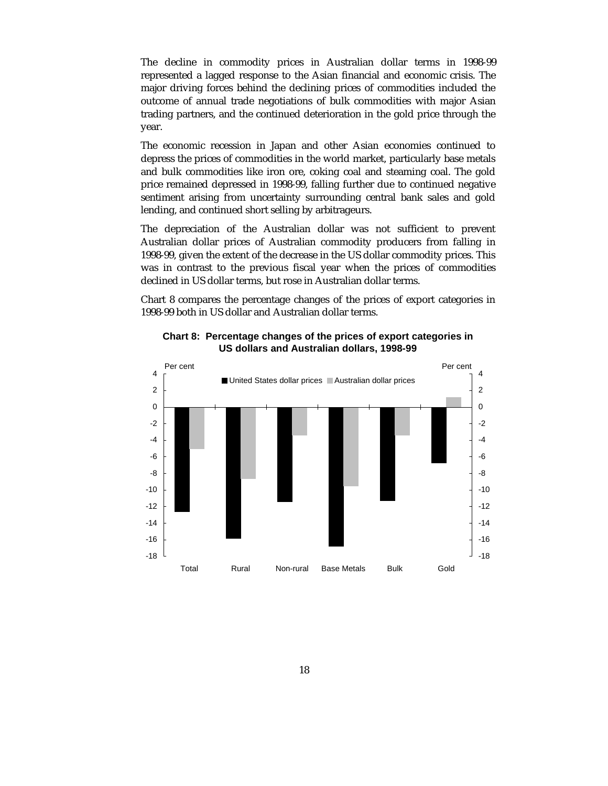The decline in commodity prices in Australian dollar terms in 1998-99 represented a lagged response to the Asian financial and economic crisis. The major driving forces behind the declining prices of commodities included the outcome of annual trade negotiations of bulk commodities with major Asian trading partners, and the continued deterioration in the gold price through the year.

The economic recession in Japan and other Asian economies continued to depress the prices of commodities in the world market, particularly base metals and bulk commodities like iron ore, coking coal and steaming coal. The gold price remained depressed in 1998-99, falling further due to continued negative sentiment arising from uncertainty surrounding central bank sales and gold lending, and continued short selling by arbitrageurs.

The depreciation of the Australian dollar was not sufficient to prevent Australian dollar prices of Australian commodity producers from falling in 1998-99, given the extent of the decrease in the US dollar commodity prices. This was in contrast to the previous fiscal year when the prices of commodities declined in US dollar terms, but rose in Australian dollar terms.

Chart 8 compares the percentage changes of the prices of export categories in 1998-99 both in US dollar and Australian dollar terms.



**Chart 8: Percentage changes of the prices of export categories in US dollars and Australian dollars, 1998-99**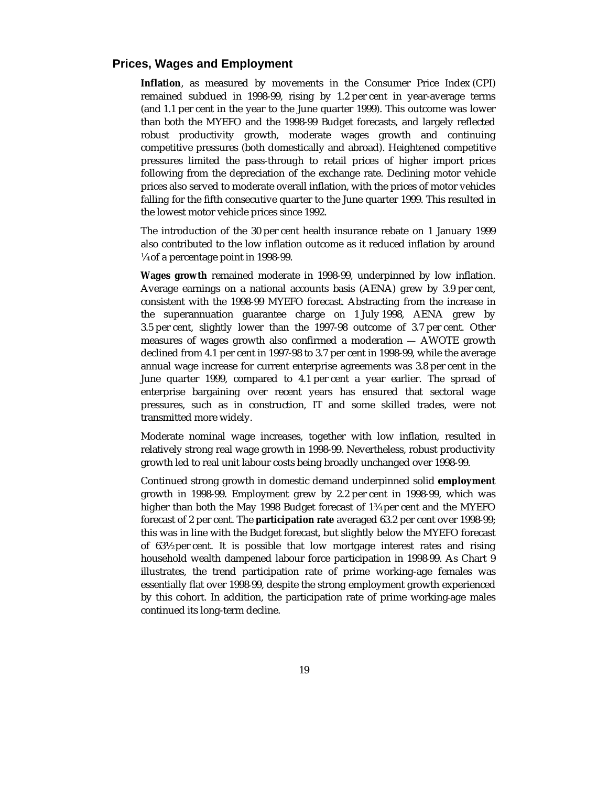## **Prices, Wages and Employment**

**Inflation**, as measured by movements in the Consumer Price Index (CPI) remained subdued in 1998-99, rising by 1.2 per cent in year-average terms (and 1.1 per cent in the year to the June quarter 1999). This outcome was lower than both the MYEFO and the 1998-99 Budget forecasts, and largely reflected robust productivity growth, moderate wages growth and continuing competitive pressures (both domestically and abroad). Heightened competitive pressures limited the pass-through to retail prices of higher import prices following from the depreciation of the exchange rate. Declining motor vehicle prices also served to moderate overall inflation, with the prices of motor vehicles falling for the fifth consecutive quarter to the June quarter 1999. This resulted in the lowest motor vehicle prices since 1992.

The introduction of the 30 per cent health insurance rebate on 1 January 1999 also contributed to the low inflation outcome as it reduced inflation by around ¼ of a percentage point in 1998-99.

**Wages growth** remained moderate in 1998-99, underpinned by low inflation. Average earnings on a national accounts basis (AENA) grew by 3.9 per cent, consistent with the 1998-99 MYEFO forecast. Abstracting from the increase in the superannuation guarantee charge on 1 July 1998, AENA grew by 3.5 per cent, slightly lower than the 1997-98 outcome of 3.7 per cent. Other measures of wages growth also confirmed a moderation — AWOTE growth declined from 4.1 per cent in 1997-98 to 3.7 per cent in 1998-99, while the average annual wage increase for current enterprise agreements was 3.8 per cent in the June quarter 1999, compared to 4.1 per cent a year earlier. The spread of enterprise bargaining over recent years has ensured that sectoral wage pressures, such as in construction, IT and some skilled trades, were not transmitted more widely.

Moderate nominal wage increases, together with low inflation, resulted in relatively strong real wage growth in 1998-99. Nevertheless, robust productivity growth led to real unit labour costs being broadly unchanged over 1998-99.

Continued strong growth in domestic demand underpinned solid **employment** growth in 1998-99. Employment grew by 2.2 per cent in 1998-99, which was higher than both the May 1998 Budget forecast of 1¾ per cent and the MYEFO forecast of 2 per cent. The **participation rate** averaged 63.2 per cent over 1998-99; this was in line with the Budget forecast, but slightly below the MYEFO forecast of 63½ per cent. It is possible that low mortgage interest rates and rising household wealth dampened labour force participation in 1998-99. As Chart 9 illustrates, the trend participation rate of prime working-age females was essentially flat over 1998-99, despite the strong employment growth experienced by this cohort. In addition, the participation rate of prime working-age males continued its long-term decline.